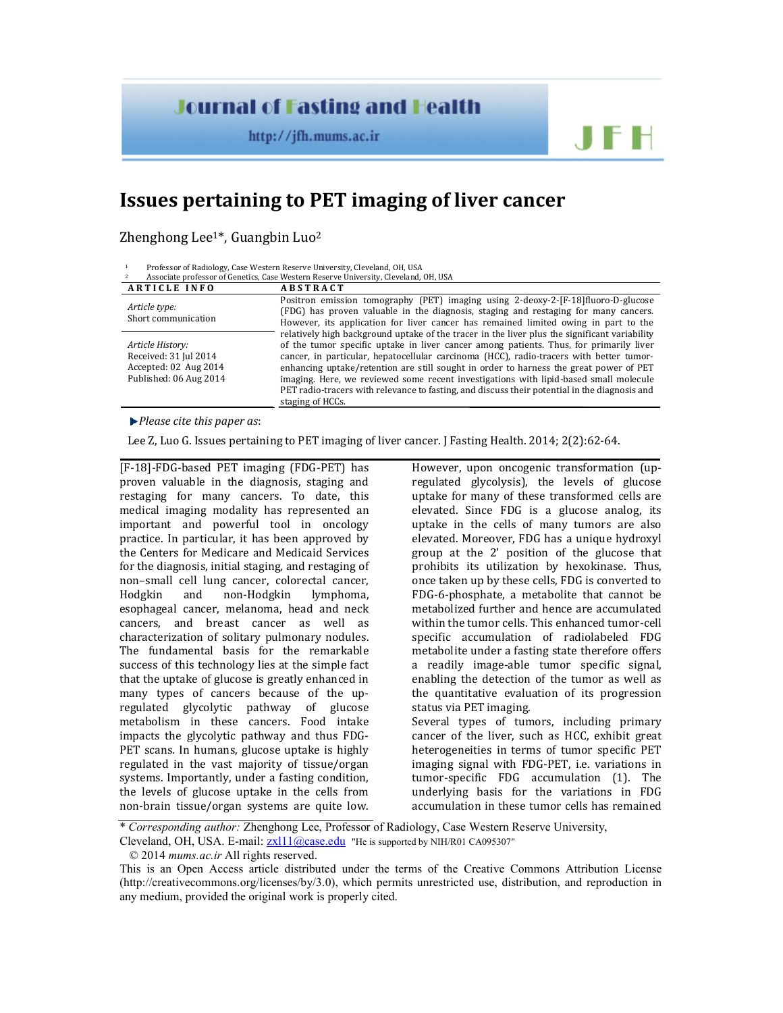## **Journal of Fasting and Health**

http://jfh.mums.ac.ir

## **Issues pertaining to PET imaging of liver cancer**

Zhenghong Lee<sup>1\*</sup>, Guangbin Luo<sup>2</sup>

<sup>1</sup> Professor of Radiology, Case Western Reserve University, Cleveland, OH, USA

| Associate professor of Genetics, Case Western Reserve University, Cleveland, OH, USA         |                                                                                                                                                                                                                                                                                                                                                                                                                                                                                                                                                                                            |
|----------------------------------------------------------------------------------------------|--------------------------------------------------------------------------------------------------------------------------------------------------------------------------------------------------------------------------------------------------------------------------------------------------------------------------------------------------------------------------------------------------------------------------------------------------------------------------------------------------------------------------------------------------------------------------------------------|
| <b>ARTICLE INFO</b>                                                                          | <b>ABSTRACT</b>                                                                                                                                                                                                                                                                                                                                                                                                                                                                                                                                                                            |
| Article type:<br>Short communication                                                         | Positron emission tomography (PET) imaging using 2-deoxy-2-[F-18] fluoro-D-glucose<br>(FDG) has proven valuable in the diagnosis, staging and restaging for many cancers.<br>However, its application for liver cancer has remained limited owing in part to the                                                                                                                                                                                                                                                                                                                           |
| Article History:<br>Received: 31 Jul 2014<br>Accepted: 02 Aug 2014<br>Published: 06 Aug 2014 | relatively high background uptake of the tracer in the liver plus the significant variability<br>of the tumor specific uptake in liver cancer among patients. Thus, for primarily liver<br>cancer, in particular, hepatocellular carcinoma (HCC), radio-tracers with better tumor-<br>enhancing uptake/retention are still sought in order to harness the great power of PET<br>imaging. Here, we reviewed some recent investigations with lipid-based small molecule<br>PET radio-tracers with relevance to fasting, and discuss their potential in the diagnosis and<br>staging of HCCs. |

*Please cite this paper as*:

Lee Z, Luo G. Issues pertaining to PET imaging of liver cancer. J Fasting Health. 2014; 2(2):62-64.

[F-18]-FDG-based PET imaging (FDG-PET) has proven valuable in the diagnosis, staging and restaging for many cancers. To date, this medical imaging modality has represented an important and powerful tool in oncology practice. In particular, it has been approved by the Centers for Medicare and Medicaid Services for the diagnosis, initial staging, and restaging of non–small cell lung cancer, colorectal cancer, Hodgkin and non-Hodgkin lymphoma, esophageal cancer, melanoma, head and neck cancers, and breast cancer as well as characterization of solitary pulmonary nodules. The fundamental basis for the remarkable success of this technology lies at the simple fact that the uptake of glucose is greatly enhanced in many types of cancers because of the upregulated glycolytic pathway of glucose metabolism in these cancers. Food intake impacts the glycolytic pathway and thus FDG-PET scans. In humans, glucose uptake is highly regulated in the vast majority of tissue/organ systems. Importantly, under a fasting condition, the levels of glucose uptake in the cells from non-brain tissue/organ systems are quite low.

However, upon oncogenic transformation (upregulated glycolysis), the levels of glucose uptake for many of these transformed cells are elevated. Since FDG is a glucose analog, its uptake in the cells of many tumors are also elevated. Moreover, FDG has a unique hydroxyl group at the 2' position of the glucose that prohibits its utilization by hexokinase. Thus, once taken up by these cells, FDG is converted to FDG-6-phosphate, a metabolite that cannot be metabolized further and hence are accumulated within the tumor cells. This enhanced tumor-cell specific accumulation of radiolabeled FDG metabolite under a fasting state therefore offers a readily image-able tumor specific signal, enabling the detection of the tumor as well as the quantitative evaluation of its progression status via PET imaging. Several types of tumors, including primary cancer of the liver, such as HCC, exhibit great heterogeneities in terms of tumor specific PET imaging signal with FDG-PET, i.e. variations in tumor-specific FDG accumulation (1). The underlying basis for the variations in FDG accumulation in these tumor cells has remained

JFH

\* *Corresponding author:* Zhenghong Lee, Professor of Radiology, Case Western Reserve University,

Cleveland, OH, USA. E-mail:  $zx111@case.edu$  "He is supported by NIH/R01 CA095307"

<sup>© 2014</sup> *mums.ac.ir* All rights reserved.

This is an Open Access article distributed under the terms of the Creative Commons Attribution License (http://creativecommons.org/licenses/by/3.0), which permits unrestricted use, distribution, and reproduction in any medium, provided the original work is properly cited.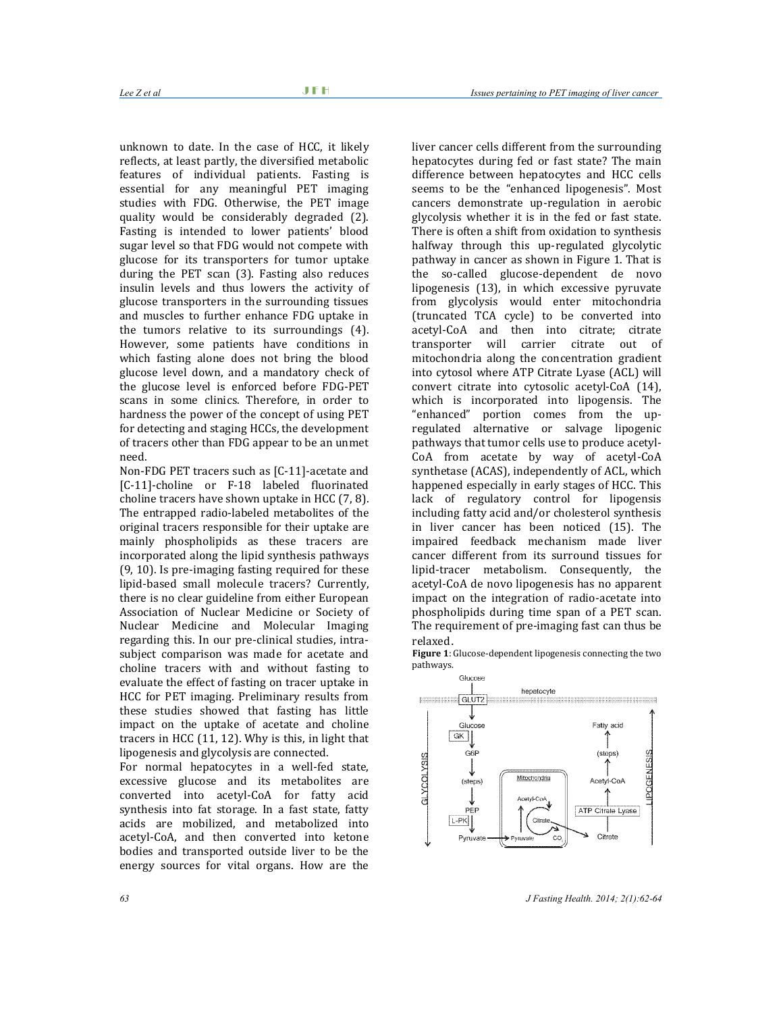unknown to date. In the case of HCC, it likely reflects, at least partly, the diversified metabolic features of individual patients. Fasting is essential for any meaningful PET imaging studies with FDG. Otherwise, the PET image quality would be considerably degraded (2). Fasting is intended to lower patients' blood sugar level so that FDG would not compete with glucose for its transporters for tumor uptake during the PET scan (3). Fasting also reduces insulin levels and thus lowers the activity of glucose transporters in the surrounding tissues and muscles to further enhance FDG uptake in the tumors relative to its surroundings (4). However, some patients have conditions in which fasting alone does not bring the blood glucose level down, and a mandatory check of the glucose level is enforced before FDG-PET scans in some clinics. Therefore, in order to hardness the power of the concept of using PET for detecting and staging HCCs, the development of tracers other than FDG appear to be an unmet need.

Non-FDG PET tracers such as [C-11]-acetate and [C-11]-choline or F-18 labeled fluorinated choline tracers have shown uptake in HCC (7, 8). The entrapped radio-labeled metabolites of the original tracers responsible for their uptake are mainly phospholipids as these tracers are incorporated along the lipid synthesis pathways (9, 10). Is pre-imaging fasting required for these lipid-based small molecule tracers? Currently, there is no clear guideline from either European Association of Nuclear Medicine or Society of Nuclear Medicine and Molecular Imaging regarding this. In our pre-clinical studies, intrasubject comparison was made for acetate and choline tracers with and without fasting to evaluate the effect of fasting on tracer uptake in HCC for PET imaging. Preliminary results from these studies showed that fasting has little impact on the uptake of acetate and choline tracers in HCC (11, 12). Why is this, in light that lipogenesis and glycolysis are connected.

For normal hepatocytes in a well-fed state, excessive glucose and its metabolites are converted into acetyl-CoA for fatty acid synthesis into fat storage. In a fast state, fatty acids are mobilized, and metabolized into acetyl-CoA, and then converted into ketone bodies and transported outside liver to be the energy sources for vital organs. How are the

liver cancer cells different from the surrounding hepatocytes during fed or fast state? The main difference between hepatocytes and HCC cells seems to be the "enhanced lipogenesis". Most cancers demonstrate up-regulation in aerobic glycolysis whether it is in the fed or fast state. There is often a shift from oxidation to synthesis halfway through this up-regulated glycolytic pathway in cancer as shown in Figure 1. That is the so-called glucose-dependent de novo lipogenesis (13), in which excessive pyruvate from glycolysis would enter mitochondria (truncated TCA cycle) to be converted into acetyl-CoA and then into citrate; citrate transporter will carrier citrate out of mitochondria along the concentration gradient into cytosol where ATP Citrate Lyase (ACL) will convert citrate into cytosolic acetyl-CoA (14), which is incorporated into lipogensis. The "enhanced" portion comes from the upregulated alternative or salvage lipogenic pathways that tumor cells use to produce acetyl-CoA from acetate by way of acetyl-CoA synthetase (ACAS), independently of ACL, which happened especially in early stages of HCC. This lack of regulatory control for lipogensis including fatty acid and/or cholesterol synthesis in liver cancer has been noticed (15). The impaired feedback mechanism made liver cancer different from its surround tissues for lipid-tracer metabolism. Consequently, the acetyl-CoA de novo lipogenesis has no apparent impact on the integration of radio-acetate into phospholipids during time span of a PET scan. The requirement of pre-imaging fast can thus be relaxed.

**Figure 1**: Glucose-dependent lipogenesis connecting the two pathways.



*63 J Fasting Health. 2014; 2(1):62-64*